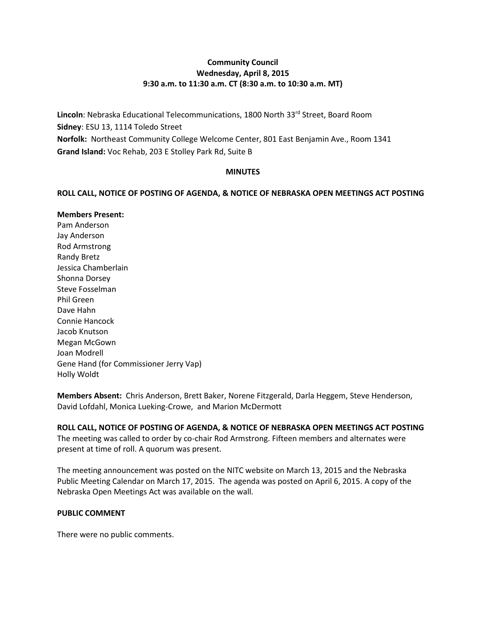## **Community Council Wednesday, April 8, 2015 9:30 a.m. to 11:30 a.m. CT (8:30 a.m. to 10:30 a.m. MT)**

Lincoln: Nebraska Educational Telecommunications, 1800 North 33<sup>rd</sup> Street, Board Room **Sidney**: ESU 13, 1114 Toledo Street **Norfolk:** Northeast Community College Welcome Center, 801 East Benjamin Ave., Room 1341 **Grand Island:** Voc Rehab, 203 E Stolley Park Rd, Suite B

### **MINUTES**

### **ROLL CALL, NOTICE OF POSTING OF AGENDA, & NOTICE OF NEBRASKA OPEN MEETINGS ACT POSTING**

#### **Members Present:**

Pam Anderson Jay Anderson Rod Armstrong Randy Bretz Jessica Chamberlain Shonna Dorsey Steve Fosselman Phil Green Dave Hahn Connie Hancock Jacob Knutson Megan McGown Joan Modrell Gene Hand (for Commissioner Jerry Vap) Holly Woldt

**Members Absent:** Chris Anderson, Brett Baker, Norene Fitzgerald, Darla Heggem, Steve Henderson, David Lofdahl, Monica Lueking-Crowe, and Marion McDermott

# **ROLL CALL, NOTICE OF POSTING OF AGENDA, & NOTICE OF NEBRASKA OPEN MEETINGS ACT POSTING**

The meeting was called to order by co-chair Rod Armstrong. Fifteen members and alternates were present at time of roll. A quorum was present.

The meeting announcement was posted on the NITC website on March 13, 2015 and the Nebraska Public Meeting Calendar on March 17, 2015. The agenda was posted on April 6, 2015. A copy of the Nebraska Open Meetings Act was available on the wall.

### **PUBLIC COMMENT**

There were no public comments.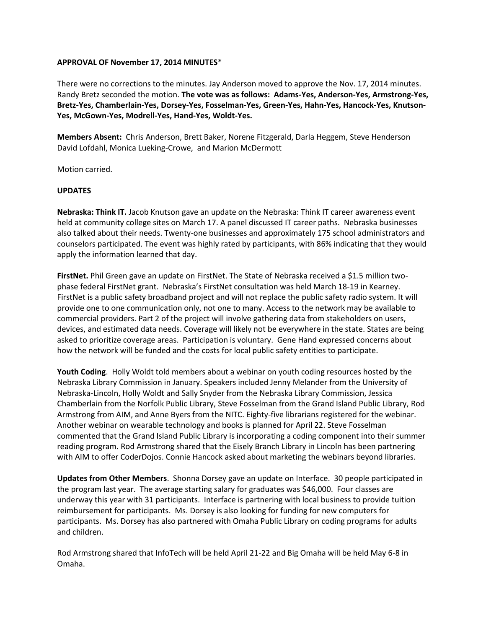#### **APPROVAL OF November 17, 2014 MINUTES**\*

There were no corrections to the minutes. Jay Anderson moved to approve the Nov. 17, 2014 minutes. Randy Bretz seconded the motion. **The vote was as follows: Adams-Yes, Anderson-Yes, Armstrong-Yes, Bretz-Yes, Chamberlain-Yes, Dorsey-Yes, Fosselman-Yes, Green-Yes, Hahn-Yes, Hancock-Yes, Knutson-Yes, McGown-Yes, Modrell-Yes, Hand-Yes, Woldt-Yes.** 

**Members Absent:** Chris Anderson, Brett Baker, Norene Fitzgerald, Darla Heggem, Steve Henderson David Lofdahl, Monica Lueking-Crowe, and Marion McDermott

Motion carried.

#### **UPDATES**

**Nebraska: Think IT.** Jacob Knutson gave an update on the Nebraska: Think IT career awareness event held at community college sites on March 17. A panel discussed IT career paths. Nebraska businesses also talked about their needs. Twenty-one businesses and approximately 175 school administrators and counselors participated. The event was highly rated by participants, with 86% indicating that they would apply the information learned that day.

**FirstNet.** Phil Green gave an update on FirstNet. The State of Nebraska received a \$1.5 million twophase federal FirstNet grant. Nebraska's FirstNet consultation was held March 18-19 in Kearney. FirstNet is a public safety broadband project and will not replace the public safety radio system. It will provide one to one communication only, not one to many. Access to the network may be available to commercial providers. Part 2 of the project will involve gathering data from stakeholders on users, devices, and estimated data needs. Coverage will likely not be everywhere in the state. States are being asked to prioritize coverage areas. Participation is voluntary. Gene Hand expressed concerns about how the network will be funded and the costs for local public safety entities to participate.

**Youth Coding**. Holly Woldt told members about a webinar on youth coding resources hosted by the Nebraska Library Commission in January. Speakers included Jenny Melander from the University of Nebraska-Lincoln, Holly Woldt and Sally Snyder from the Nebraska Library Commission, Jessica Chamberlain from the Norfolk Public Library, Steve Fosselman from the Grand Island Public Library, Rod Armstrong from AIM, and Anne Byers from the NITC. Eighty-five librarians registered for the webinar. Another webinar on wearable technology and books is planned for April 22. Steve Fosselman commented that the Grand Island Public Library is incorporating a coding component into their summer reading program. Rod Armstrong shared that the Eisely Branch Library in Lincoln has been partnering with AIM to offer CoderDojos. Connie Hancock asked about marketing the webinars beyond libraries.

**Updates from Other Members**. Shonna Dorsey gave an update on Interface. 30 people participated in the program last year. The average starting salary for graduates was \$46,000. Four classes are underway this year with 31 participants. Interface is partnering with local business to provide tuition reimbursement for participants. Ms. Dorsey is also looking for funding for new computers for participants. Ms. Dorsey has also partnered with Omaha Public Library on coding programs for adults and children.

Rod Armstrong shared that InfoTech will be held April 21-22 and Big Omaha will be held May 6-8 in Omaha.